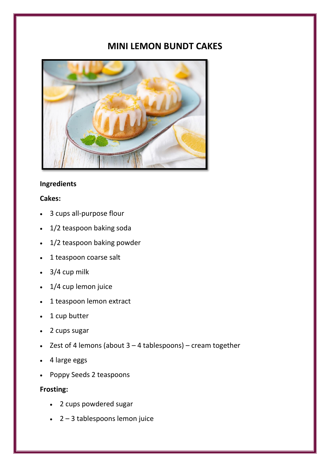# **MINI LEMON BUNDT CAKES**



## **Ingredients**

### **Cakes:**

- 3 cups all-purpose flour
- 1/2 teaspoon baking soda
- 1/2 teaspoon baking powder
- 1 teaspoon coarse salt
- $\cdot$  3/4 cup milk
- 1/4 cup lemon juice
- 1 teaspoon lemon extract
- 1 cup butter
- 2 cups sugar
- Zest of 4 lemons (about  $3 4$  tablespoons) cream together
- 4 large eggs
- Poppy Seeds 2 teaspoons

## **Frosting:**

- 2 cups powdered sugar
- 2 3 tablespoons lemon juice